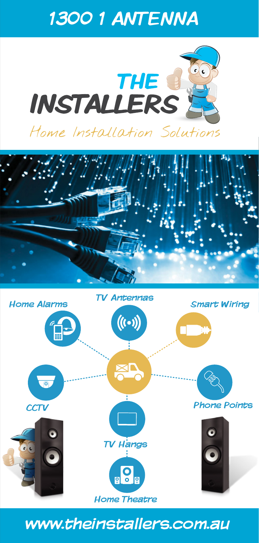# 1300 1 ANTENNA







## www.theinstallers.com.au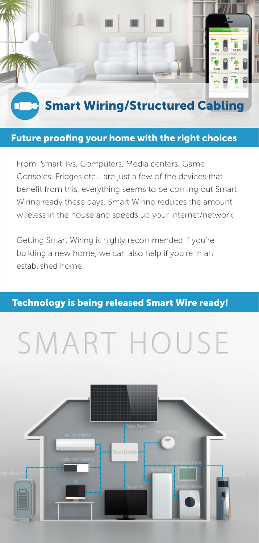

#### Future proofing your home with the right choices

From Smart Tvs, Computers, Media centers, Game Consoles, Fridges etc… are just a few of the devices that benefit from this, everything seems to be coming out Smart Wiring ready these days. Smart Wiring reduces the amount wireless in the house and speeds up your internet/network.

Getting Smart Wiring is highly recommended if you're building a new home, we can also help if you're in an established home.

#### Technology is being released Smart Wire ready!

# SMART HOUSE

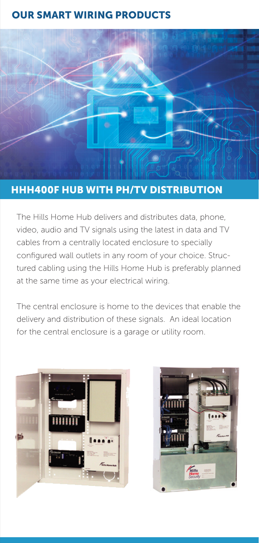## OUR SMART WIRING PRODUCTS



#### HHH400F HUB WITH PH/TV DISTRIBUTION

The Hills Home Hub delivers and distributes data, phone, video, audio and TV signals using the latest in data and TV cables from a centrally located enclosure to specially configured wall outlets in any room of your choice. Structured cabling using the Hills Home Hub is preferably planned at the same time as your electrical wiring.

The central enclosure is home to the devices that enable the delivery and distribution of these signals. An ideal location for the central enclosure is a garage or utility room.

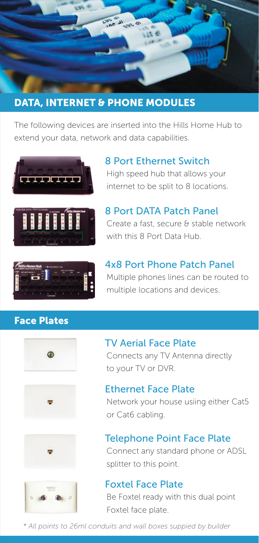

## DATA, INTERNET & PHONE MODULES

The following devices are inserted into the Hills Home Hub to extend your data, network and data capabilities.



#### High speed hub that allows your 8 Port Ethernet Switch

internet to be split to 8 locations.



## Create a fast, secure & stable network 8 Port DATA Patch Panel

with this 8 Port Data Hub.



#### Multiple phones lines can be routed to multiple locations and devices. 4x8 Port Phone Patch Panel

#### Face Plates





#### Connects any TV Antenna directly to your TV or DVR. TV Aerial Face Plate



Network your house usiing either Cat5 or Cat6 cabling.





## Telephone Point Face Plate

Connect any standard phone or ADSL splitter to this point.

#### Foxtel Face Plate

Be Foxtel ready with this dual point Foxtel face plate.

*\* All points to 26ml conduits and wall boxes suppied by builder*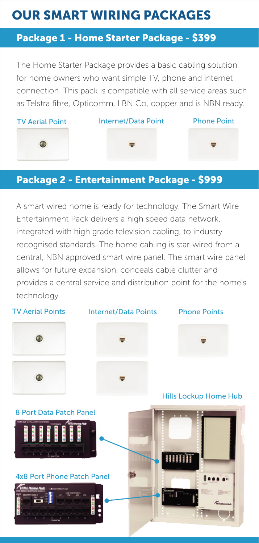## OUR SMART WIRING PACKAGES

## Package 1 - Home Starter Package - \$399

The Home Starter Package provides a basic cabling solution for home owners who want simple TV, phone and internet connection. This pack is compatible with all service areas such as Telstra fibre, Opticomm, LBN Co, copper and is NBN ready.



#### Package 2 - Entertainment Package - \$999

A smart wired home is ready for technology. The Smart Wire Entertainment Pack delivers a high speed data network, integrated with high grade television cabling, to industry recognised standards. The home cabling is star-wired from a central, NBN approved smart wire panel. The smart wire panel allows for future expansion, conceals cable clutter and provides a central service and distribution point for the home's technology.